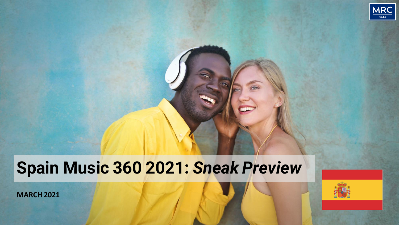

# **Spain Music 360 2021:** *Sneak Preview*

**MARCH 2021**

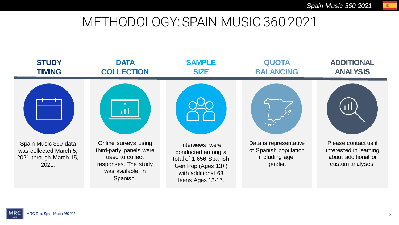#### METHODOLOGY: SPAIN MUSIC 360 2021



蜜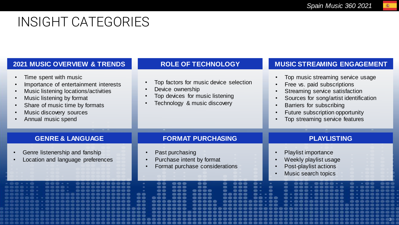$\overline{a}$ 

### INSIGHT CATEGORIES

|                                                                                                                                                                                                                         | <b>ROLE OF TECHNOLOGY</b>                                                                                                     |                                                                                                                                                                                                          |
|-------------------------------------------------------------------------------------------------------------------------------------------------------------------------------------------------------------------------|-------------------------------------------------------------------------------------------------------------------------------|----------------------------------------------------------------------------------------------------------------------------------------------------------------------------------------------------------|
| <b>2021 MUSIC OVERVIEW &amp; TRENDS</b><br>Time spent with music<br>$\bullet$                                                                                                                                           |                                                                                                                               | <b>MUSIC STREAMING ENGAGEMENT</b><br>Top music streaming service usage                                                                                                                                   |
| Importance of entertainment interests<br>$\bullet$<br>Music listening locations/activities<br>Music listening by format<br>$\bullet$<br>Share of music time by formats<br>Music discovery sources<br>Annual music spend | Top factors for music device selection<br>Device ownership<br>Top devices for music listening<br>Technology & music discovery | Free vs. paid subscriptions<br>Streaming service satisfaction<br>Sources for song/artist identification<br>Barriers for subscribing<br>Future subscription opportunity<br>Top streaming service features |
| <b>GENRE &amp; LANGUAGE</b>                                                                                                                                                                                             | <b>FORMAT PURCHASING</b>                                                                                                      | <b>PLAYLISTING</b>                                                                                                                                                                                       |
|                                                                                                                                                                                                                         |                                                                                                                               |                                                                                                                                                                                                          |
| Genre listenership and fanship<br>Location and language preferences                                                                                                                                                     | Past purchasing<br>Purchase intent by format<br>Format purchase considerations                                                | Playlist importance<br>Weekly playlist usage<br>Post-playlist actions<br>Music search topics                                                                                                             |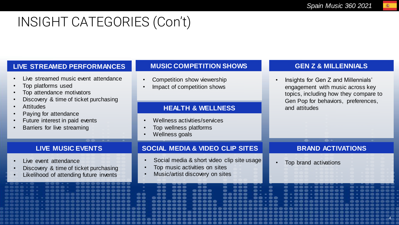# INSIGHT CATEGORIES (Con't)

#### **LIVE STREAMED PERFORMANCES**

- Live streamed music event attendance
- Top platforms used
- Top attendance motivators
- Discovery & time of ticket purchasing

**LIVE MUSIC EVENTS**

• Discovery & time of ticket purchasing Likelihood of attending future invents

- Attitudes
- Paying for attendance
- Future interest in paid events
- Barriers for live streaming

Live event attendance

#### **MUSIC COMPETITION SHOWS**

- Competition show viewership
- Impact of competition shows

#### **HEALTH & WELLNESS** and attitudes

- Wellness activities/services
- Top wellness platforms
- Wellness goals

#### **SOCIAL MEDIA & VIDEO CLIP SITES**

- Social media & short video clip site usage
- Top music activities on sites
- Music/artist discovery on sites

#### **GEN Z & MILLENNIALS**

• Insights for Gen Z and Millennials' engagement with music across key topics, including how they compare to Gen Pop for behaviors, preferences,

#### **BRAND ACTIVATIONS**

4

4

• Top brand activations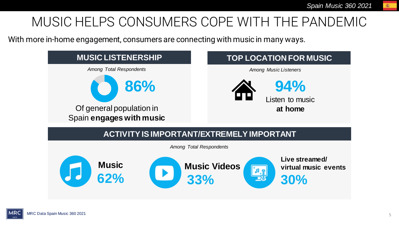### MUSIC HELPS CONSUMERS COPE WITH THE PANDEMIC

With more in-home engagement, consumers are connecting with music in many ways.



案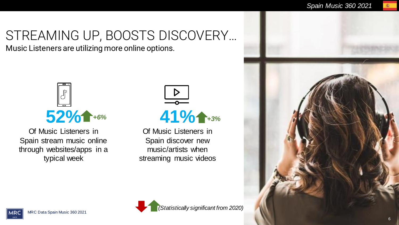# STREAMING UP, BOOSTS DISCOVERY…

Music Listeners are utilizing more online options.



Of Music Listeners in Spain stream music online through websites/apps in a typical week

*+6%* **41%** *+3%*

Of Music Listeners in Spain discover new music/artists when streaming music videos



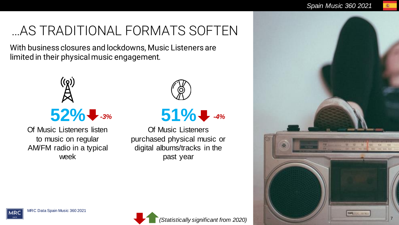# …AS TRADITIONAL FORMATS SOFTEN

With business closures and lockdowns, Music Listeners are limited in their physical music engagement.



Of Music Listeners listen to music on regular AM/FM radio in a typical week



# **51%** *-3% -4%*

Of Music Listeners purchased physical music or digital albums/tracks in the past year





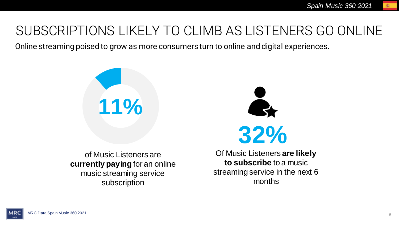### SUBSCRIPTIONS LIKELY TO CLIMB AS LISTENERS GO ONLINE

Online streaming poised to grow as more consumers turn to online and digital experiences.





of Music Listeners are **currently paying** for an online music streaming service subscription

Of Music Listeners **are likely to subscribe** to a music streaming service in the next 6 months

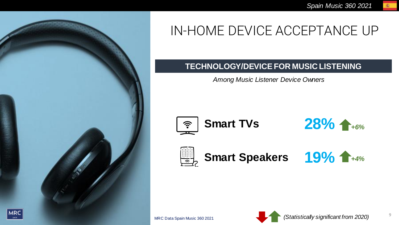

# IN-HOME DEVICE ACCEPTANCE UP

#### **TECHNOLOGY/DEVICE FOR MUSIC LISTENING**

*Among Music Listener Device Owners*



**Smart TVs** 





**Smart Speakers** 



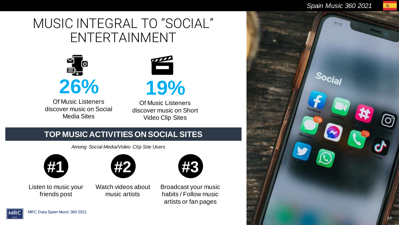#### MUSIC INTEGRAL TO "SOCIAL" ENTERTAINMENT



Of Music Listeners discover music on Social Media Sites



Of Music Listeners discover music on Short Video Clip Sites

#### **TOP MUSIC ACTIVITIES ON SOCIAL SITES**

*Among Social Media/Video Clip Site Users*







Watch videos about music artists



Broadcast your music habits / Follow music artists or fan pages

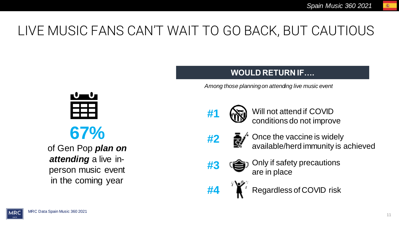# LIVE MUSIC FANS CAN'T WAIT TO GO BACK, BUT CAUTIOUS

**67%** 

of Gen Pop *plan on attending* a live inperson music event in the coming year

#### **WOULD RETURN IF….**

*Among those planning on attending live music event*



**#1** ( $\mathbb{N}$ ) Will not attend if COVID conditions do not improve

- 
- **#2**  $\frac{1}{2}$  Once the vaccine is widely available/herd immunity is achieved
	-

**#3** ( $\bigoplus$ ) Only if safety precautions are in place

**#4 Regardless of COVID risk** 

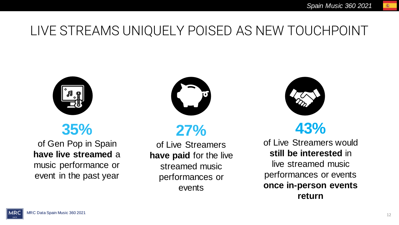### LIVE STREAMS UNIQUELY POISED AS NEW TOUCHPOINT



### **35%**

of Gen Pop in Spain **have live streamed** a music performance or event in the past year



**27%** 

of Live Streamers **have paid** for the live streamed music performances or events



### **43%**

of Live Streamers would **still be interested** in live streamed music performances or events **once in-person events return**